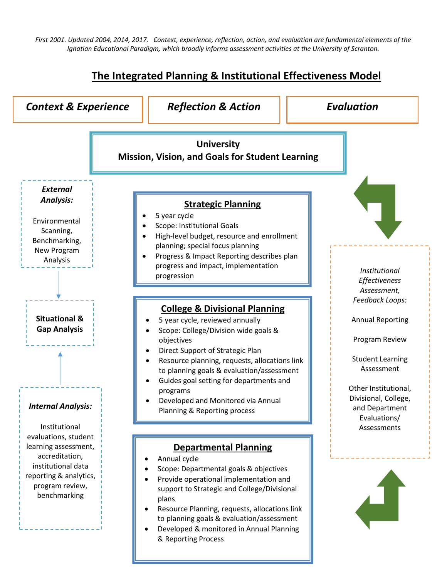*First 2001. Updated 2004, 2014, 2017. Context, experience, reflection, action, and evaluation are fundamental elements of the Ignatian Educational Paradigm, which broadly informs assessment activities at the University of Scranton.*

## **The Integrated Planning & Institutional Effectiveness Model**